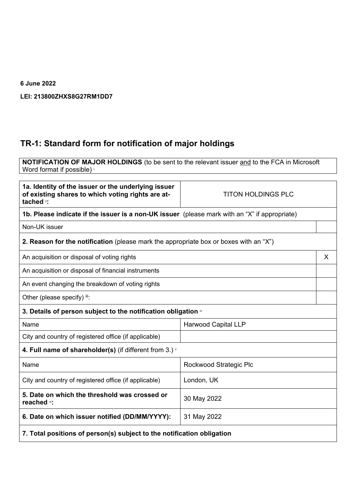**6 June 2022** 

**LEI: 213800ZHXS8G27RM1DD7**

## **TR-1: Standard form for notification of major holdings**

**NOTIFICATION OF MAJOR HOLDINGS** (to be sent to the relevant issuer and to the FCA in Microsoft Word format if possible) <sup>i</sup>

| 1a. Identity of the issuer or the underlying issuer<br>of existing shares to which voting rights are at-<br>tached ": | <b>TITON HOLDINGS PLC</b>  |   |
|-----------------------------------------------------------------------------------------------------------------------|----------------------------|---|
| 1b. Please indicate if the issuer is a non-UK issuer (please mark with an "X" if appropriate)                         |                            |   |
| Non-UK issuer                                                                                                         |                            |   |
| <b>2. Reason for the notification</b> (please mark the appropriate box or boxes with an "X")                          |                            |   |
| An acquisition or disposal of voting rights                                                                           |                            | X |
| An acquisition or disposal of financial instruments                                                                   |                            |   |
| An event changing the breakdown of voting rights                                                                      |                            |   |
| Other (please specify) $\mathbb{I}$ :                                                                                 |                            |   |
| 3. Details of person subject to the notification obligation $\sqrt[n]{ }$                                             |                            |   |
| Name                                                                                                                  | <b>Harwood Capital LLP</b> |   |
| City and country of registered office (if applicable)                                                                 |                            |   |
| 4. Full name of shareholder(s) (if different from 3.) $\gamma$                                                        |                            |   |
| Name                                                                                                                  | Rockwood Strategic Plc     |   |
| City and country of registered office (if applicable)                                                                 | London, UK                 |   |
| 5. Date on which the threshold was crossed or<br>reached vi:                                                          | 30 May 2022                |   |
| 31 May 2022<br>6. Date on which issuer notified (DD/MM/YYYY):                                                         |                            |   |
| 7. Total positions of person(s) subject to the notification obligation                                                |                            |   |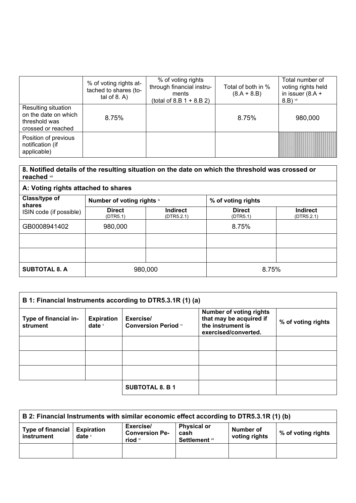|                                                                                    | % of voting rights at-<br>tached to shares (to-<br>tal of $8. A$ ) | % of voting rights<br>through financial instru-<br>ments<br>(total of 8.B $1 + 8.B 2$ ) | Total of both in %<br>$(8.A + 8.B)$ | Total number of<br>voting rights held<br>in issuer $(8.A +$<br>$8.B)$ vii |
|------------------------------------------------------------------------------------|--------------------------------------------------------------------|-----------------------------------------------------------------------------------------|-------------------------------------|---------------------------------------------------------------------------|
| Resulting situation<br>on the date on which<br>threshold was<br>crossed or reached | 8.75%                                                              |                                                                                         | 8.75%                               | 980,000                                                                   |
| Position of previous<br>notification (if<br>applicable)                            |                                                                    |                                                                                         |                                     |                                                                           |

## **8. Notified details of the resulting situation on the date on which the threshold was crossed or reached** viii

| A: Voting rights attached to shares |                            |                               |                           |                               |
|-------------------------------------|----------------------------|-------------------------------|---------------------------|-------------------------------|
| Class/type of<br>shares             | Number of voting rights ix |                               | % of voting rights        |                               |
| ISIN code (if possible)             | <b>Direct</b><br>(DTR5.1)  | <b>Indirect</b><br>(DTR5.2.1) | <b>Direct</b><br>(DTR5.1) | <b>Indirect</b><br>(DTR5.2.1) |
| GB0008941402                        | 980,000                    |                               | 8.75%                     |                               |
|                                     |                            |                               |                           |                               |
|                                     |                            |                               |                           |                               |
| <b>SUBTOTAL 8. A</b>                |                            | 980,000                       | 8.75%                     |                               |

| B 1: Financial Instruments according to DTR5.3.1R (1) (a) |                               |                                          |                                                                                                        |                    |
|-----------------------------------------------------------|-------------------------------|------------------------------------------|--------------------------------------------------------------------------------------------------------|--------------------|
| Type of financial in-<br>strument                         | <b>Expiration</b><br>date $x$ | Exercise/<br><b>Conversion Period xi</b> | <b>Number of voting rights</b><br>that may be acquired if<br>the instrument is<br>exercised/converted. | % of voting rights |
|                                                           |                               |                                          |                                                                                                        |                    |
|                                                           |                               |                                          |                                                                                                        |                    |
|                                                           |                               |                                          |                                                                                                        |                    |
|                                                           |                               | <b>SUBTOTAL 8. B 1</b>                   |                                                                                                        |                    |

| B 2: Financial Instruments with similar economic effect according to DTR5.3.1R (1) (b) |                               |                                               |                                              |                            |                    |
|----------------------------------------------------------------------------------------|-------------------------------|-----------------------------------------------|----------------------------------------------|----------------------------|--------------------|
| <b>Type of financial</b><br>instrument                                                 | <b>Expiration</b><br>date $x$ | Exercise/<br><b>Conversion Pe-</b><br>riod xi | <b>Physical or</b><br>cash<br>Settlement xii | Number of<br>voting rights | % of voting rights |
|                                                                                        |                               |                                               |                                              |                            |                    |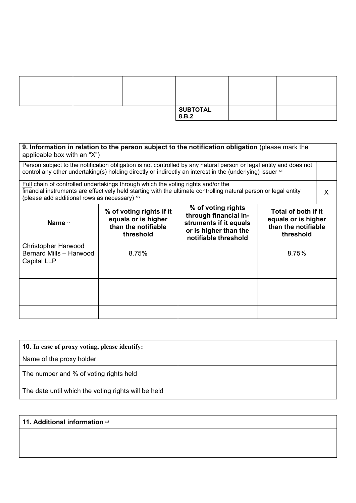|  | SUBTOTAL<br>8.8.2 |  |
|--|-------------------|--|

| 9. Information in relation to the person subject to the notification obligation (please mark the<br>applicable box with an "X")                                                                                                                       |                                                                                     |                                                                                                                        |                                                                                |  |
|-------------------------------------------------------------------------------------------------------------------------------------------------------------------------------------------------------------------------------------------------------|-------------------------------------------------------------------------------------|------------------------------------------------------------------------------------------------------------------------|--------------------------------------------------------------------------------|--|
| Person subject to the notification obligation is not controlled by any natural person or legal entity and does not<br>control any other undertaking(s) holding directly or indirectly an interest in the (underlying) issuer xill                     |                                                                                     |                                                                                                                        |                                                                                |  |
| Full chain of controlled undertakings through which the voting rights and/or the<br>financial instruments are effectively held starting with the ultimate controlling natural person or legal entity<br>(please add additional rows as necessary) xiv |                                                                                     |                                                                                                                        |                                                                                |  |
| Name xv                                                                                                                                                                                                                                               | % of voting rights if it<br>equals or is higher<br>than the notifiable<br>threshold | % of voting rights<br>through financial in-<br>struments if it equals<br>or is higher than the<br>notifiable threshold | Total of both if it<br>equals or is higher<br>than the notifiable<br>threshold |  |
| <b>Christopher Harwood</b><br>Bernard Mills - Harwood<br><b>Capital LLP</b>                                                                                                                                                                           | 8.75%                                                                               |                                                                                                                        | 8.75%                                                                          |  |
|                                                                                                                                                                                                                                                       |                                                                                     |                                                                                                                        |                                                                                |  |
|                                                                                                                                                                                                                                                       |                                                                                     |                                                                                                                        |                                                                                |  |
|                                                                                                                                                                                                                                                       |                                                                                     |                                                                                                                        |                                                                                |  |
|                                                                                                                                                                                                                                                       |                                                                                     |                                                                                                                        |                                                                                |  |

| <b>10.</b> In case of proxy voting, please identify: |  |
|------------------------------------------------------|--|
| Name of the proxy holder                             |  |
| The number and % of voting rights held               |  |
| The date until which the voting rights will be held  |  |

## **11. Additional information** xvi